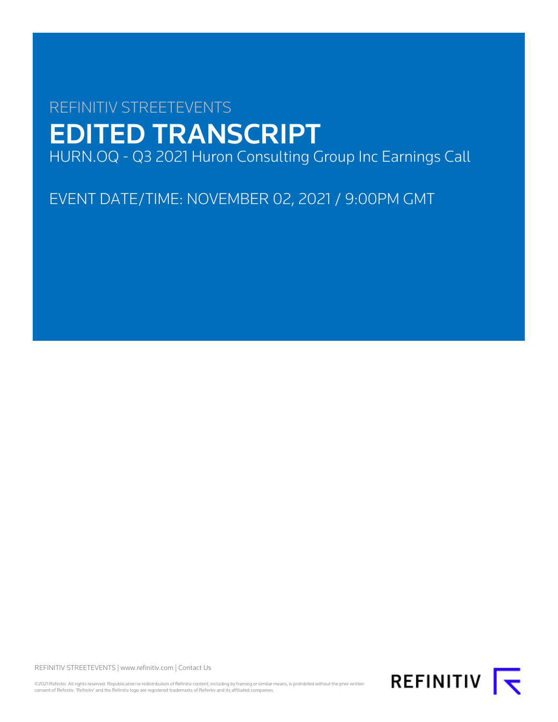# REFINITIV STREETEVENTS EDITED TRANSCRIPT HURN.OQ - Q3 2021 Huron Consulting Group Inc Earnings Call

EVENT DATE/TIME: NOVEMBER 02, 2021 / 9:00PM GMT

REFINITIV STREETEVENTS | [www.refinitiv.com](https://www.refinitiv.com/) | [Contact Us](https://www.refinitiv.com/en/contact-us)

©2021 Refinitiv. All rights reserved. Republication or redistribution of Refinitiv content, including by framing or similar means, is prohibited without the prior written consent of Refinitiv. 'Refinitiv' and the Refinitiv logo are registered trademarks of Refinitiv and its affiliated companies.

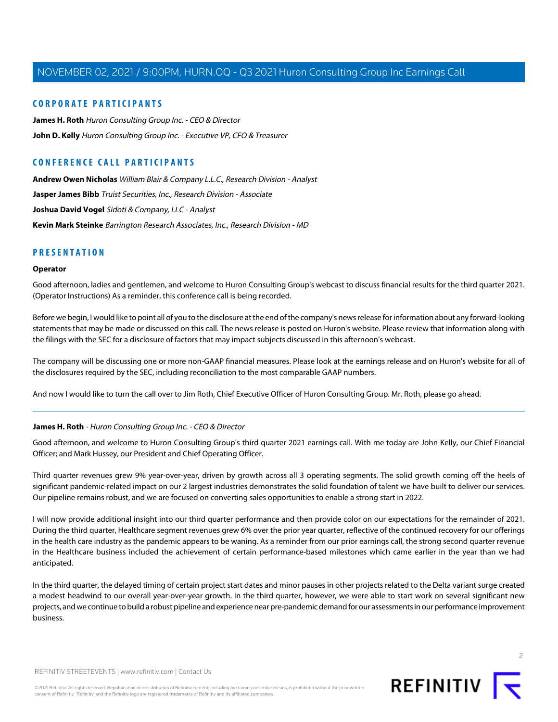#### **CORPORATE PARTICIPANTS**

**[James H. Roth](#page-1-0)** Huron Consulting Group Inc. - CEO & Director **[John D. Kelly](#page-3-0)** Huron Consulting Group Inc. - Executive VP, CFO & Treasurer

### **CONFERENCE CALL PARTICIPANTS**

**[Andrew Owen Nicholas](#page-7-0)** William Blair & Company L.L.C., Research Division - Analyst **[Jasper James Bibb](#page-5-0)** Truist Securities, Inc., Research Division - Associate **[Joshua David Vogel](#page-10-0)** Sidoti & Company, LLC - Analyst **[Kevin Mark Steinke](#page-8-0)** Barrington Research Associates, Inc., Research Division - MD

#### **PRESENTATION**

#### **Operator**

Good afternoon, ladies and gentlemen, and welcome to Huron Consulting Group's webcast to discuss financial results for the third quarter 2021. (Operator Instructions) As a reminder, this conference call is being recorded.

Before we begin, I would like to point all of you to the disclosure at the end of the company's news release for information about any forward-looking statements that may be made or discussed on this call. The news release is posted on Huron's website. Please review that information along with the filings with the SEC for a disclosure of factors that may impact subjects discussed in this afternoon's webcast.

The company will be discussing one or more non-GAAP financial measures. Please look at the earnings release and on Huron's website for all of the disclosures required by the SEC, including reconciliation to the most comparable GAAP numbers.

<span id="page-1-0"></span>And now I would like to turn the call over to Jim Roth, Chief Executive Officer of Huron Consulting Group. Mr. Roth, please go ahead.

#### **James H. Roth** - Huron Consulting Group Inc. - CEO & Director

Good afternoon, and welcome to Huron Consulting Group's third quarter 2021 earnings call. With me today are John Kelly, our Chief Financial Officer; and Mark Hussey, our President and Chief Operating Officer.

Third quarter revenues grew 9% year-over-year, driven by growth across all 3 operating segments. The solid growth coming off the heels of significant pandemic-related impact on our 2 largest industries demonstrates the solid foundation of talent we have built to deliver our services. Our pipeline remains robust, and we are focused on converting sales opportunities to enable a strong start in 2022.

I will now provide additional insight into our third quarter performance and then provide color on our expectations for the remainder of 2021. During the third quarter, Healthcare segment revenues grew 6% over the prior year quarter, reflective of the continued recovery for our offerings in the health care industry as the pandemic appears to be waning. As a reminder from our prior earnings call, the strong second quarter revenue in the Healthcare business included the achievement of certain performance-based milestones which came earlier in the year than we had anticipated.

In the third quarter, the delayed timing of certain project start dates and minor pauses in other projects related to the Delta variant surge created a modest headwind to our overall year-over-year growth. In the third quarter, however, we were able to start work on several significant new projects, and we continue to build a robust pipeline and experience near pre-pandemic demand for our assessments in our performance improvement business.

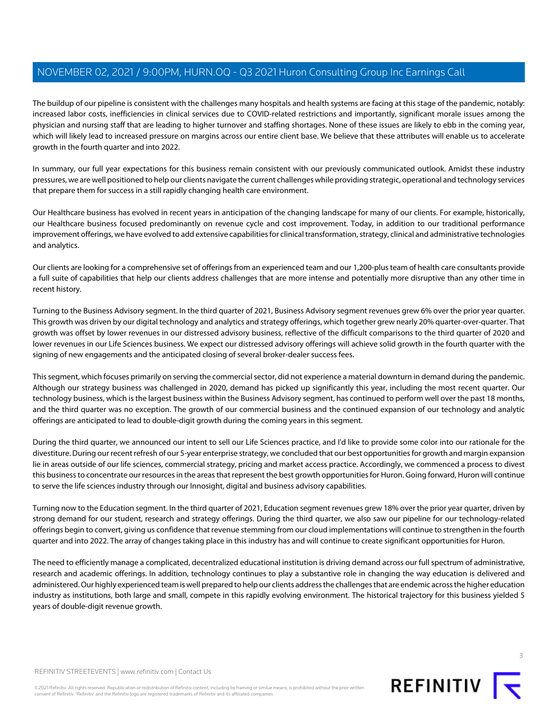The buildup of our pipeline is consistent with the challenges many hospitals and health systems are facing at this stage of the pandemic, notably: increased labor costs, inefficiencies in clinical services due to COVID-related restrictions and importantly, significant morale issues among the physician and nursing staff that are leading to higher turnover and staffing shortages. None of these issues are likely to ebb in the coming year, which will likely lead to increased pressure on margins across our entire client base. We believe that these attributes will enable us to accelerate growth in the fourth quarter and into 2022.

In summary, our full year expectations for this business remain consistent with our previously communicated outlook. Amidst these industry pressures, we are well positioned to help our clients navigate the current challenges while providing strategic, operational and technology services that prepare them for success in a still rapidly changing health care environment.

Our Healthcare business has evolved in recent years in anticipation of the changing landscape for many of our clients. For example, historically, our Healthcare business focused predominantly on revenue cycle and cost improvement. Today, in addition to our traditional performance improvement offerings, we have evolved to add extensive capabilities for clinical transformation, strategy, clinical and administrative technologies and analytics.

Our clients are looking for a comprehensive set of offerings from an experienced team and our 1,200-plus team of health care consultants provide a full suite of capabilities that help our clients address challenges that are more intense and potentially more disruptive than any other time in recent history.

Turning to the Business Advisory segment. In the third quarter of 2021, Business Advisory segment revenues grew 6% over the prior year quarter. This growth was driven by our digital technology and analytics and strategy offerings, which together grew nearly 20% quarter-over-quarter. That growth was offset by lower revenues in our distressed advisory business, reflective of the difficult comparisons to the third quarter of 2020 and lower revenues in our Life Sciences business. We expect our distressed advisory offerings will achieve solid growth in the fourth quarter with the signing of new engagements and the anticipated closing of several broker-dealer success fees.

This segment, which focuses primarily on serving the commercial sector, did not experience a material downturn in demand during the pandemic. Although our strategy business was challenged in 2020, demand has picked up significantly this year, including the most recent quarter. Our technology business, which is the largest business within the Business Advisory segment, has continued to perform well over the past 18 months, and the third quarter was no exception. The growth of our commercial business and the continued expansion of our technology and analytic offerings are anticipated to lead to double-digit growth during the coming years in this segment.

During the third quarter, we announced our intent to sell our Life Sciences practice, and I'd like to provide some color into our rationale for the divestiture. During our recent refresh of our 5-year enterprise strategy, we concluded that our best opportunities for growth and margin expansion lie in areas outside of our life sciences, commercial strategy, pricing and market access practice. Accordingly, we commenced a process to divest this business to concentrate our resources in the areas that represent the best growth opportunities for Huron. Going forward, Huron will continue to serve the life sciences industry through our Innosight, digital and business advisory capabilities.

Turning now to the Education segment. In the third quarter of 2021, Education segment revenues grew 18% over the prior year quarter, driven by strong demand for our student, research and strategy offerings. During the third quarter, we also saw our pipeline for our technology-related offerings begin to convert, giving us confidence that revenue stemming from our cloud implementations will continue to strengthen in the fourth quarter and into 2022. The array of changes taking place in this industry has and will continue to create significant opportunities for Huron.

The need to efficiently manage a complicated, decentralized educational institution is driving demand across our full spectrum of administrative, research and academic offerings. In addition, technology continues to play a substantive role in changing the way education is delivered and administered. Our highly experienced team is well prepared to help our clients address the challenges that are endemic across the higher education industry as institutions, both large and small, compete in this rapidly evolving environment. The historical trajectory for this business yielded 5 years of double-digit revenue growth.

REFINITIV STREETEVENTS | [www.refinitiv.com](https://www.refinitiv.com/) | [Contact Us](https://www.refinitiv.com/en/contact-us)

©2021 Refinitiv. All rights reserved. Republication or redistribution of Refinitiv content, including by framing or similar means, is prohibited without the prior written consent of Refinitiv. 'Refinitiv' and the Refinitiv logo are registered trademarks of Refinitiv and its affiliated companies.

3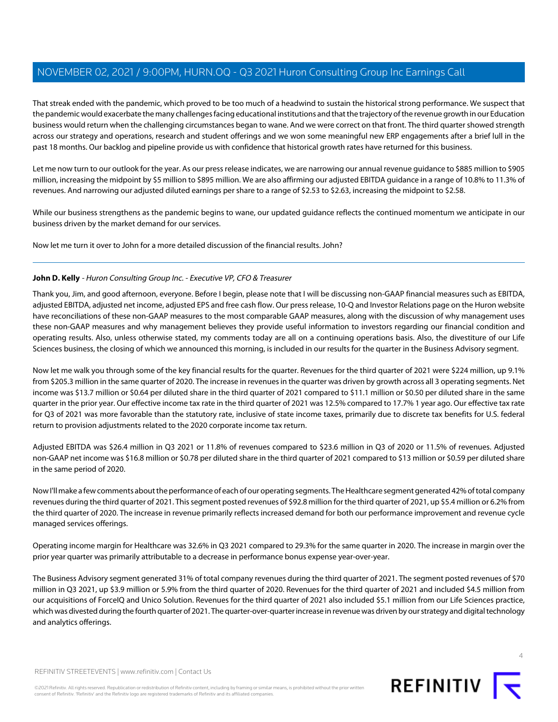That streak ended with the pandemic, which proved to be too much of a headwind to sustain the historical strong performance. We suspect that the pandemic would exacerbate the many challenges facing educational institutions and that the trajectory of the revenue growth in our Education business would return when the challenging circumstances began to wane. And we were correct on that front. The third quarter showed strength across our strategy and operations, research and student offerings and we won some meaningful new ERP engagements after a brief lull in the past 18 months. Our backlog and pipeline provide us with confidence that historical growth rates have returned for this business.

Let me now turn to our outlook for the year. As our press release indicates, we are narrowing our annual revenue guidance to \$885 million to \$905 million, increasing the midpoint by \$5 million to \$895 million. We are also affirming our adjusted EBITDA guidance in a range of 10.8% to 11.3% of revenues. And narrowing our adjusted diluted earnings per share to a range of \$2.53 to \$2.63, increasing the midpoint to \$2.58.

While our business strengthens as the pandemic begins to wane, our updated guidance reflects the continued momentum we anticipate in our business driven by the market demand for our services.

<span id="page-3-0"></span>Now let me turn it over to John for a more detailed discussion of the financial results. John?

#### **John D. Kelly** - Huron Consulting Group Inc. - Executive VP, CFO & Treasurer

Thank you, Jim, and good afternoon, everyone. Before I begin, please note that I will be discussing non-GAAP financial measures such as EBITDA, adjusted EBITDA, adjusted net income, adjusted EPS and free cash flow. Our press release, 10-Q and Investor Relations page on the Huron website have reconciliations of these non-GAAP measures to the most comparable GAAP measures, along with the discussion of why management uses these non-GAAP measures and why management believes they provide useful information to investors regarding our financial condition and operating results. Also, unless otherwise stated, my comments today are all on a continuing operations basis. Also, the divestiture of our Life Sciences business, the closing of which we announced this morning, is included in our results for the quarter in the Business Advisory segment.

Now let me walk you through some of the key financial results for the quarter. Revenues for the third quarter of 2021 were \$224 million, up 9.1% from \$205.3 million in the same quarter of 2020. The increase in revenues in the quarter was driven by growth across all 3 operating segments. Net income was \$13.7 million or \$0.64 per diluted share in the third quarter of 2021 compared to \$11.1 million or \$0.50 per diluted share in the same quarter in the prior year. Our effective income tax rate in the third quarter of 2021 was 12.5% compared to 17.7% 1 year ago. Our effective tax rate for Q3 of 2021 was more favorable than the statutory rate, inclusive of state income taxes, primarily due to discrete tax benefits for U.S. federal return to provision adjustments related to the 2020 corporate income tax return.

Adjusted EBITDA was \$26.4 million in Q3 2021 or 11.8% of revenues compared to \$23.6 million in Q3 of 2020 or 11.5% of revenues. Adjusted non-GAAP net income was \$16.8 million or \$0.78 per diluted share in the third quarter of 2021 compared to \$13 million or \$0.59 per diluted share in the same period of 2020.

Now I'll make a few comments about the performance of each of our operating segments. The Healthcare segment generated 42% of total company revenues during the third quarter of 2021. This segment posted revenues of \$92.8 million for the third quarter of 2021, up \$5.4 million or 6.2% from the third quarter of 2020. The increase in revenue primarily reflects increased demand for both our performance improvement and revenue cycle managed services offerings.

Operating income margin for Healthcare was 32.6% in Q3 2021 compared to 29.3% for the same quarter in 2020. The increase in margin over the prior year quarter was primarily attributable to a decrease in performance bonus expense year-over-year.

The Business Advisory segment generated 31% of total company revenues during the third quarter of 2021. The segment posted revenues of \$70 million in Q3 2021, up \$3.9 million or 5.9% from the third quarter of 2020. Revenues for the third quarter of 2021 and included \$4.5 million from our acquisitions of ForceIQ and Unico Solution. Revenues for the third quarter of 2021 also included \$5.1 million from our Life Sciences practice, which was divested during the fourth quarter of 2021. The quarter-over-quarter increase in revenue was driven by our strategy and digital technology and analytics offerings.



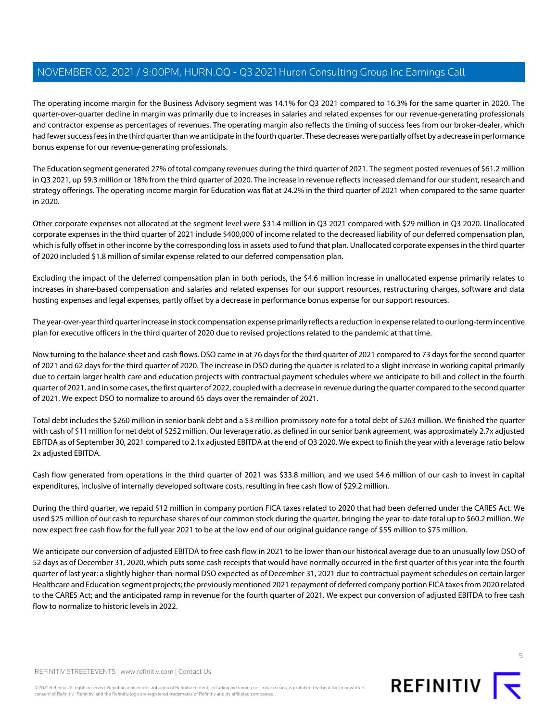The operating income margin for the Business Advisory segment was 14.1% for Q3 2021 compared to 16.3% for the same quarter in 2020. The quarter-over-quarter decline in margin was primarily due to increases in salaries and related expenses for our revenue-generating professionals and contractor expense as percentages of revenues. The operating margin also reflects the timing of success fees from our broker-dealer, which had fewer success fees in the third quarter than we anticipate in the fourth quarter. These decreases were partially offset by a decrease in performance bonus expense for our revenue-generating professionals.

The Education segment generated 27% of total company revenues during the third quarter of 2021. The segment posted revenues of \$61.2 million in Q3 2021, up \$9.3 million or 18% from the third quarter of 2020. The increase in revenue reflects increased demand for our student, research and strategy offerings. The operating income margin for Education was flat at 24.2% in the third quarter of 2021 when compared to the same quarter in 2020.

Other corporate expenses not allocated at the segment level were \$31.4 million in Q3 2021 compared with \$29 million in Q3 2020. Unallocated corporate expenses in the third quarter of 2021 include \$400,000 of income related to the decreased liability of our deferred compensation plan, which is fully offset in other income by the corresponding loss in assets used to fund that plan. Unallocated corporate expenses in the third quarter of 2020 included \$1.8 million of similar expense related to our deferred compensation plan.

Excluding the impact of the deferred compensation plan in both periods, the \$4.6 million increase in unallocated expense primarily relates to increases in share-based compensation and salaries and related expenses for our support resources, restructuring charges, software and data hosting expenses and legal expenses, partly offset by a decrease in performance bonus expense for our support resources.

The year-over-year third quarter increase in stock compensation expense primarily reflects a reduction in expense related to our long-term incentive plan for executive officers in the third quarter of 2020 due to revised projections related to the pandemic at that time.

Now turning to the balance sheet and cash flows. DSO came in at 76 days for the third quarter of 2021 compared to 73 days for the second quarter of 2021 and 62 days for the third quarter of 2020. The increase in DSO during the quarter is related to a slight increase in working capital primarily due to certain larger health care and education projects with contractual payment schedules where we anticipate to bill and collect in the fourth quarter of 2021, and in some cases, the first quarter of 2022, coupled with a decrease in revenue during the quarter compared to the second quarter of 2021. We expect DSO to normalize to around 65 days over the remainder of 2021.

Total debt includes the \$260 million in senior bank debt and a \$3 million promissory note for a total debt of \$263 million. We finished the quarter with cash of \$11 million for net debt of \$252 million. Our leverage ratio, as defined in our senior bank agreement, was approximately 2.7x adjusted EBITDA as of September 30, 2021 compared to 2.1x adjusted EBITDA at the end of Q3 2020. We expect to finish the year with a leverage ratio below 2x adjusted EBITDA.

Cash flow generated from operations in the third quarter of 2021 was \$33.8 million, and we used \$4.6 million of our cash to invest in capital expenditures, inclusive of internally developed software costs, resulting in free cash flow of \$29.2 million.

During the third quarter, we repaid \$12 million in company portion FICA taxes related to 2020 that had been deferred under the CARES Act. We used \$25 million of our cash to repurchase shares of our common stock during the quarter, bringing the year-to-date total up to \$60.2 million. We now expect free cash flow for the full year 2021 to be at the low end of our original guidance range of \$55 million to \$75 million.

We anticipate our conversion of adjusted EBITDA to free cash flow in 2021 to be lower than our historical average due to an unusually low DSO of 52 days as of December 31, 2020, which puts some cash receipts that would have normally occurred in the first quarter of this year into the fourth quarter of last year: a slightly higher-than-normal DSO expected as of December 31, 2021 due to contractual payment schedules on certain larger Healthcare and Education segment projects; the previously mentioned 2021 repayment of deferred company portion FICA taxes from 2020 related to the CARES Act; and the anticipated ramp in revenue for the fourth quarter of 2021. We expect our conversion of adjusted EBITDA to free cash flow to normalize to historic levels in 2022.



©2021 Refinitiv. All rights reserved. Republication or redistribution of Refinitiv content, including by framing or similar means, is prohibited without the prior written consent of Refinitiv. 'Refinitiv' and the Refinitiv logo are registered trademarks of Refinitiv and its affiliated companies.

REFINITIV **I**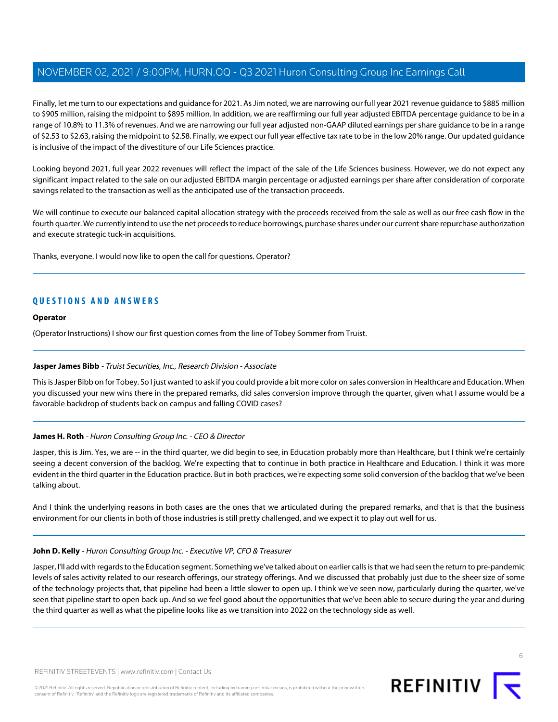Finally, let me turn to our expectations and guidance for 2021. As Jim noted, we are narrowing our full year 2021 revenue guidance to \$885 million to \$905 million, raising the midpoint to \$895 million. In addition, we are reaffirming our full year adjusted EBITDA percentage guidance to be in a range of 10.8% to 11.3% of revenues. And we are narrowing our full year adjusted non-GAAP diluted earnings per share guidance to be in a range of \$2.53 to \$2.63, raising the midpoint to \$2.58. Finally, we expect our full year effective tax rate to be in the low 20% range. Our updated guidance is inclusive of the impact of the divestiture of our Life Sciences practice.

Looking beyond 2021, full year 2022 revenues will reflect the impact of the sale of the Life Sciences business. However, we do not expect any significant impact related to the sale on our adjusted EBITDA margin percentage or adjusted earnings per share after consideration of corporate savings related to the transaction as well as the anticipated use of the transaction proceeds.

We will continue to execute our balanced capital allocation strategy with the proceeds received from the sale as well as our free cash flow in the fourth quarter. We currently intend to use the net proceeds to reduce borrowings, purchase shares under our current share repurchase authorization and execute strategic tuck-in acquisitions.

Thanks, everyone. I would now like to open the call for questions. Operator?

## **QUESTIONS AND ANSWERS**

#### **Operator**

<span id="page-5-0"></span>(Operator Instructions) I show our first question comes from the line of Tobey Sommer from Truist.

#### **Jasper James Bibb** - Truist Securities, Inc., Research Division - Associate

This is Jasper Bibb on for Tobey. So I just wanted to ask if you could provide a bit more color on sales conversion in Healthcare and Education. When you discussed your new wins there in the prepared remarks, did sales conversion improve through the quarter, given what I assume would be a favorable backdrop of students back on campus and falling COVID cases?

#### **James H. Roth** - Huron Consulting Group Inc. - CEO & Director

Jasper, this is Jim. Yes, we are -- in the third quarter, we did begin to see, in Education probably more than Healthcare, but I think we're certainly seeing a decent conversion of the backlog. We're expecting that to continue in both practice in Healthcare and Education. I think it was more evident in the third quarter in the Education practice. But in both practices, we're expecting some solid conversion of the backlog that we've been talking about.

And I think the underlying reasons in both cases are the ones that we articulated during the prepared remarks, and that is that the business environment for our clients in both of those industries is still pretty challenged, and we expect it to play out well for us.

#### **John D. Kelly** - Huron Consulting Group Inc. - Executive VP, CFO & Treasurer

Jasper, I'll add with regards to the Education segment. Something we've talked about on earlier calls is that we had seen the return to pre-pandemic levels of sales activity related to our research offerings, our strategy offerings. And we discussed that probably just due to the sheer size of some of the technology projects that, that pipeline had been a little slower to open up. I think we've seen now, particularly during the quarter, we've seen that pipeline start to open back up. And so we feel good about the opportunities that we've been able to secure during the year and during the third quarter as well as what the pipeline looks like as we transition into 2022 on the technology side as well.

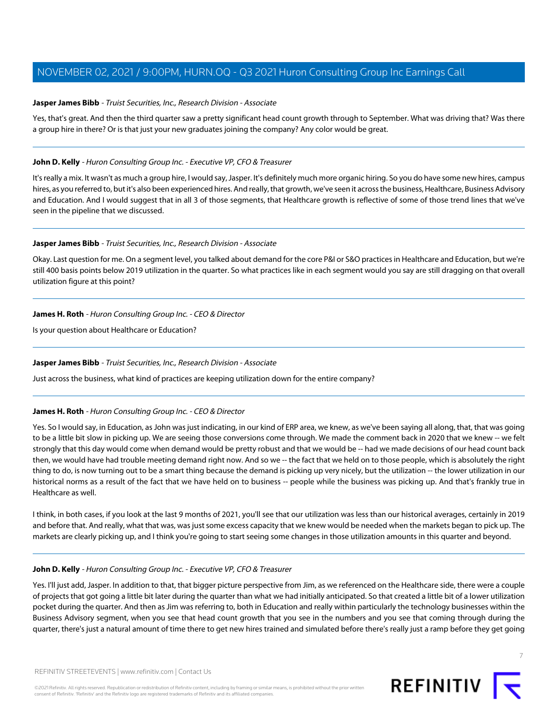#### **Jasper James Bibb** - Truist Securities, Inc., Research Division - Associate

Yes, that's great. And then the third quarter saw a pretty significant head count growth through to September. What was driving that? Was there a group hire in there? Or is that just your new graduates joining the company? Any color would be great.

#### **John D. Kelly** - Huron Consulting Group Inc. - Executive VP, CFO & Treasurer

It's really a mix. It wasn't as much a group hire, I would say, Jasper. It's definitely much more organic hiring. So you do have some new hires, campus hires, as you referred to, but it's also been experienced hires. And really, that growth, we've seen it across the business, Healthcare, Business Advisory and Education. And I would suggest that in all 3 of those segments, that Healthcare growth is reflective of some of those trend lines that we've seen in the pipeline that we discussed.

#### **Jasper James Bibb** - Truist Securities, Inc., Research Division - Associate

Okay. Last question for me. On a segment level, you talked about demand for the core P&I or S&O practices in Healthcare and Education, but we're still 400 basis points below 2019 utilization in the quarter. So what practices like in each segment would you say are still dragging on that overall utilization figure at this point?

#### **James H. Roth** - Huron Consulting Group Inc. - CEO & Director

Is your question about Healthcare or Education?

#### **Jasper James Bibb** - Truist Securities, Inc., Research Division - Associate

Just across the business, what kind of practices are keeping utilization down for the entire company?

#### **James H. Roth** - Huron Consulting Group Inc. - CEO & Director

Yes. So I would say, in Education, as John was just indicating, in our kind of ERP area, we knew, as we've been saying all along, that, that was going to be a little bit slow in picking up. We are seeing those conversions come through. We made the comment back in 2020 that we knew -- we felt strongly that this day would come when demand would be pretty robust and that we would be -- had we made decisions of our head count back then, we would have had trouble meeting demand right now. And so we -- the fact that we held on to those people, which is absolutely the right thing to do, is now turning out to be a smart thing because the demand is picking up very nicely, but the utilization -- the lower utilization in our historical norms as a result of the fact that we have held on to business -- people while the business was picking up. And that's frankly true in Healthcare as well.

I think, in both cases, if you look at the last 9 months of 2021, you'll see that our utilization was less than our historical averages, certainly in 2019 and before that. And really, what that was, was just some excess capacity that we knew would be needed when the markets began to pick up. The markets are clearly picking up, and I think you're going to start seeing some changes in those utilization amounts in this quarter and beyond.

#### **John D. Kelly** - Huron Consulting Group Inc. - Executive VP, CFO & Treasurer

Yes. I'll just add, Jasper. In addition to that, that bigger picture perspective from Jim, as we referenced on the Healthcare side, there were a couple of projects that got going a little bit later during the quarter than what we had initially anticipated. So that created a little bit of a lower utilization pocket during the quarter. And then as Jim was referring to, both in Education and really within particularly the technology businesses within the Business Advisory segment, when you see that head count growth that you see in the numbers and you see that coming through during the quarter, there's just a natural amount of time there to get new hires trained and simulated before there's really just a ramp before they get going



7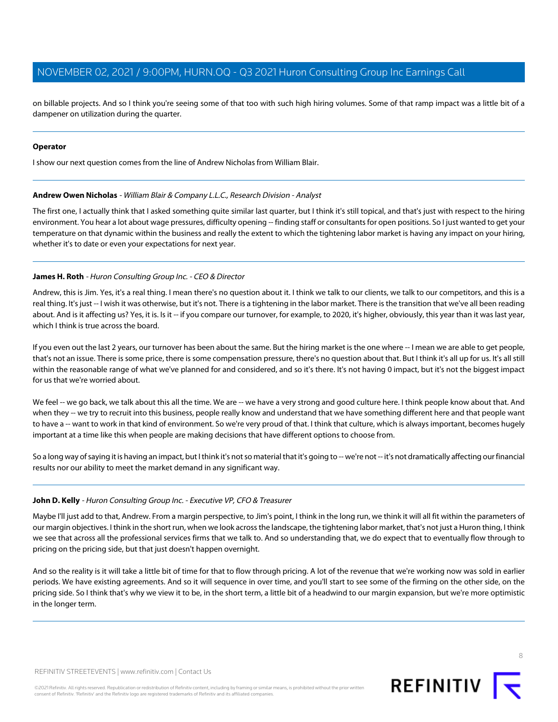on billable projects. And so I think you're seeing some of that too with such high hiring volumes. Some of that ramp impact was a little bit of a dampener on utilization during the quarter.

#### **Operator**

<span id="page-7-0"></span>I show our next question comes from the line of Andrew Nicholas from William Blair.

#### **Andrew Owen Nicholas** - William Blair & Company L.L.C., Research Division - Analyst

The first one, I actually think that I asked something quite similar last quarter, but I think it's still topical, and that's just with respect to the hiring environment. You hear a lot about wage pressures, difficulty opening -- finding staff or consultants for open positions. So I just wanted to get your temperature on that dynamic within the business and really the extent to which the tightening labor market is having any impact on your hiring, whether it's to date or even your expectations for next year.

#### **James H. Roth** - Huron Consulting Group Inc. - CEO & Director

Andrew, this is Jim. Yes, it's a real thing. I mean there's no question about it. I think we talk to our clients, we talk to our competitors, and this is a real thing. It's just -- I wish it was otherwise, but it's not. There is a tightening in the labor market. There is the transition that we've all been reading about. And is it affecting us? Yes, it is. Is it -- if you compare our turnover, for example, to 2020, it's higher, obviously, this year than it was last year, which I think is true across the board.

If you even out the last 2 years, our turnover has been about the same. But the hiring market is the one where -- I mean we are able to get people, that's not an issue. There is some price, there is some compensation pressure, there's no question about that. But I think it's all up for us. It's all still within the reasonable range of what we've planned for and considered, and so it's there. It's not having 0 impact, but it's not the biggest impact for us that we're worried about.

We feel -- we go back, we talk about this all the time. We are -- we have a very strong and good culture here. I think people know about that. And when they -- we try to recruit into this business, people really know and understand that we have something different here and that people want to have a -- want to work in that kind of environment. So we're very proud of that. I think that culture, which is always important, becomes hugely important at a time like this when people are making decisions that have different options to choose from.

So a long way of saying it is having an impact, but I think it's not so material that it's going to -- we're not -- it's not dramatically affecting our financial results nor our ability to meet the market demand in any significant way.

#### **John D. Kelly** - Huron Consulting Group Inc. - Executive VP, CFO & Treasurer

Maybe I'll just add to that, Andrew. From a margin perspective, to Jim's point, I think in the long run, we think it will all fit within the parameters of our margin objectives. I think in the short run, when we look across the landscape, the tightening labor market, that's not just a Huron thing, I think we see that across all the professional services firms that we talk to. And so understanding that, we do expect that to eventually flow through to pricing on the pricing side, but that just doesn't happen overnight.

And so the reality is it will take a little bit of time for that to flow through pricing. A lot of the revenue that we're working now was sold in earlier periods. We have existing agreements. And so it will sequence in over time, and you'll start to see some of the firming on the other side, on the pricing side. So I think that's why we view it to be, in the short term, a little bit of a headwind to our margin expansion, but we're more optimistic in the longer term.

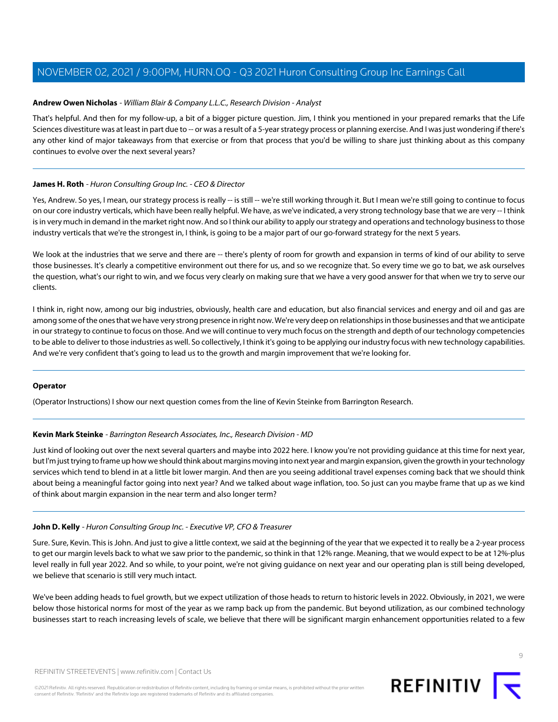#### **Andrew Owen Nicholas** - William Blair & Company L.L.C., Research Division - Analyst

That's helpful. And then for my follow-up, a bit of a bigger picture question. Jim, I think you mentioned in your prepared remarks that the Life Sciences divestiture was at least in part due to -- or was a result of a 5-year strategy process or planning exercise. And I was just wondering if there's any other kind of major takeaways from that exercise or from that process that you'd be willing to share just thinking about as this company continues to evolve over the next several years?

#### **James H. Roth** - Huron Consulting Group Inc. - CEO & Director

Yes, Andrew. So yes, I mean, our strategy process is really -- is still -- we're still working through it. But I mean we're still going to continue to focus on our core industry verticals, which have been really helpful. We have, as we've indicated, a very strong technology base that we are very -- I think is in very much in demand in the market right now. And so I think our ability to apply our strategy and operations and technology business to those industry verticals that we're the strongest in, I think, is going to be a major part of our go-forward strategy for the next 5 years.

We look at the industries that we serve and there are -- there's plenty of room for growth and expansion in terms of kind of our ability to serve those businesses. It's clearly a competitive environment out there for us, and so we recognize that. So every time we go to bat, we ask ourselves the question, what's our right to win, and we focus very clearly on making sure that we have a very good answer for that when we try to serve our clients.

I think in, right now, among our big industries, obviously, health care and education, but also financial services and energy and oil and gas are among some of the ones that we have very strong presence in right now. We're very deep on relationships in those businesses and that we anticipate in our strategy to continue to focus on those. And we will continue to very much focus on the strength and depth of our technology competencies to be able to deliver to those industries as well. So collectively, I think it's going to be applying our industry focus with new technology capabilities. And we're very confident that's going to lead us to the growth and margin improvement that we're looking for.

#### <span id="page-8-0"></span>**Operator**

(Operator Instructions) I show our next question comes from the line of Kevin Steinke from Barrington Research.

#### **Kevin Mark Steinke** - Barrington Research Associates, Inc., Research Division - MD

Just kind of looking out over the next several quarters and maybe into 2022 here. I know you're not providing guidance at this time for next year, but I'm just trying to frame up how we should think about margins moving into next year and margin expansion, given the growth in your technology services which tend to blend in at a little bit lower margin. And then are you seeing additional travel expenses coming back that we should think about being a meaningful factor going into next year? And we talked about wage inflation, too. So just can you maybe frame that up as we kind of think about margin expansion in the near term and also longer term?

#### **John D. Kelly** - Huron Consulting Group Inc. - Executive VP, CFO & Treasurer

Sure. Sure, Kevin. This is John. And just to give a little context, we said at the beginning of the year that we expected it to really be a 2-year process to get our margin levels back to what we saw prior to the pandemic, so think in that 12% range. Meaning, that we would expect to be at 12%-plus level really in full year 2022. And so while, to your point, we're not giving guidance on next year and our operating plan is still being developed, we believe that scenario is still very much intact.

We've been adding heads to fuel growth, but we expect utilization of those heads to return to historic levels in 2022. Obviously, in 2021, we were below those historical norms for most of the year as we ramp back up from the pandemic. But beyond utilization, as our combined technology businesses start to reach increasing levels of scale, we believe that there will be significant margin enhancement opportunities related to a few

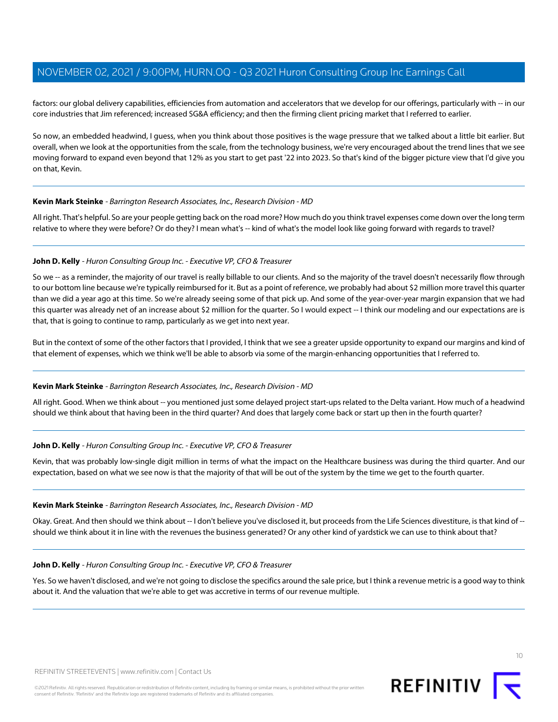factors: our global delivery capabilities, efficiencies from automation and accelerators that we develop for our offerings, particularly with -- in our core industries that Jim referenced; increased SG&A efficiency; and then the firming client pricing market that I referred to earlier.

So now, an embedded headwind, I guess, when you think about those positives is the wage pressure that we talked about a little bit earlier. But overall, when we look at the opportunities from the scale, from the technology business, we're very encouraged about the trend lines that we see moving forward to expand even beyond that 12% as you start to get past '22 into 2023. So that's kind of the bigger picture view that I'd give you on that, Kevin.

#### **Kevin Mark Steinke** - Barrington Research Associates, Inc., Research Division - MD

All right. That's helpful. So are your people getting back on the road more? How much do you think travel expenses come down over the long term relative to where they were before? Or do they? I mean what's -- kind of what's the model look like going forward with regards to travel?

#### **John D. Kelly** - Huron Consulting Group Inc. - Executive VP, CFO & Treasurer

So we -- as a reminder, the majority of our travel is really billable to our clients. And so the majority of the travel doesn't necessarily flow through to our bottom line because we're typically reimbursed for it. But as a point of reference, we probably had about \$2 million more travel this quarter than we did a year ago at this time. So we're already seeing some of that pick up. And some of the year-over-year margin expansion that we had this quarter was already net of an increase about \$2 million for the quarter. So I would expect -- I think our modeling and our expectations are is that, that is going to continue to ramp, particularly as we get into next year.

But in the context of some of the other factors that I provided, I think that we see a greater upside opportunity to expand our margins and kind of that element of expenses, which we think we'll be able to absorb via some of the margin-enhancing opportunities that I referred to.

#### **Kevin Mark Steinke** - Barrington Research Associates, Inc., Research Division - MD

All right. Good. When we think about -- you mentioned just some delayed project start-ups related to the Delta variant. How much of a headwind should we think about that having been in the third quarter? And does that largely come back or start up then in the fourth quarter?

#### **John D. Kelly** - Huron Consulting Group Inc. - Executive VP, CFO & Treasurer

Kevin, that was probably low-single digit million in terms of what the impact on the Healthcare business was during the third quarter. And our expectation, based on what we see now is that the majority of that will be out of the system by the time we get to the fourth quarter.

#### **Kevin Mark Steinke** - Barrington Research Associates, Inc., Research Division - MD

Okay. Great. And then should we think about -- I don't believe you've disclosed it, but proceeds from the Life Sciences divestiture, is that kind of -should we think about it in line with the revenues the business generated? Or any other kind of yardstick we can use to think about that?

#### **John D. Kelly** - Huron Consulting Group Inc. - Executive VP, CFO & Treasurer

Yes. So we haven't disclosed, and we're not going to disclose the specifics around the sale price, but I think a revenue metric is a good way to think about it. And the valuation that we're able to get was accretive in terms of our revenue multiple.



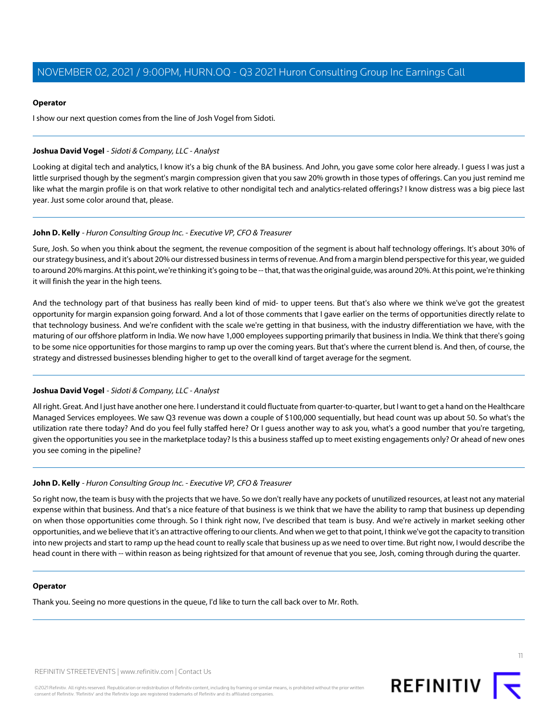#### **Operator**

I show our next question comes from the line of Josh Vogel from Sidoti.

#### <span id="page-10-0"></span>**Joshua David Vogel** - Sidoti & Company, LLC - Analyst

Looking at digital tech and analytics, I know it's a big chunk of the BA business. And John, you gave some color here already. I guess I was just a little surprised though by the segment's margin compression given that you saw 20% growth in those types of offerings. Can you just remind me like what the margin profile is on that work relative to other nondigital tech and analytics-related offerings? I know distress was a big piece last year. Just some color around that, please.

#### **John D. Kelly** - Huron Consulting Group Inc. - Executive VP, CFO & Treasurer

Sure, Josh. So when you think about the segment, the revenue composition of the segment is about half technology offerings. It's about 30% of our strategy business, and it's about 20% our distressed business in terms of revenue. And from a margin blend perspective for this year, we guided to around 20% margins. At this point, we're thinking it's going to be -- that, that was the original guide, was around 20%. At this point, we're thinking it will finish the year in the high teens.

And the technology part of that business has really been kind of mid- to upper teens. But that's also where we think we've got the greatest opportunity for margin expansion going forward. And a lot of those comments that I gave earlier on the terms of opportunities directly relate to that technology business. And we're confident with the scale we're getting in that business, with the industry differentiation we have, with the maturing of our offshore platform in India. We now have 1,000 employees supporting primarily that business in India. We think that there's going to be some nice opportunities for those margins to ramp up over the coming years. But that's where the current blend is. And then, of course, the strategy and distressed businesses blending higher to get to the overall kind of target average for the segment.

#### **Joshua David Vogel** - Sidoti & Company, LLC - Analyst

All right. Great. And I just have another one here. I understand it could fluctuate from quarter-to-quarter, but I want to get a hand on the Healthcare Managed Services employees. We saw Q3 revenue was down a couple of \$100,000 sequentially, but head count was up about 50. So what's the utilization rate there today? And do you feel fully staffed here? Or I guess another way to ask you, what's a good number that you're targeting, given the opportunities you see in the marketplace today? Is this a business staffed up to meet existing engagements only? Or ahead of new ones you see coming in the pipeline?

#### **John D. Kelly** - Huron Consulting Group Inc. - Executive VP, CFO & Treasurer

So right now, the team is busy with the projects that we have. So we don't really have any pockets of unutilized resources, at least not any material expense within that business. And that's a nice feature of that business is we think that we have the ability to ramp that business up depending on when those opportunities come through. So I think right now, I've described that team is busy. And we're actively in market seeking other opportunities, and we believe that it's an attractive offering to our clients. And when we get to that point, I think we've got the capacity to transition into new projects and start to ramp up the head count to really scale that business up as we need to over time. But right now, I would describe the head count in there with -- within reason as being rightsized for that amount of revenue that you see, Josh, coming through during the quarter.

#### **Operator**

Thank you. Seeing no more questions in the queue, I'd like to turn the call back over to Mr. Roth.



11